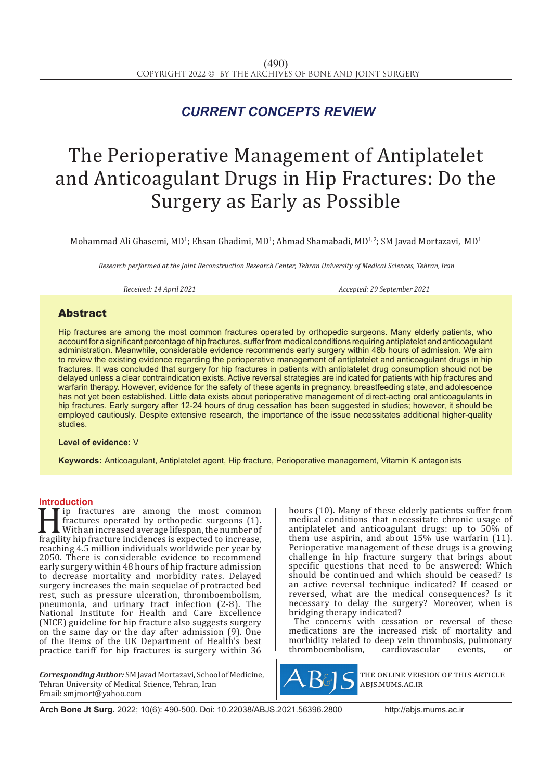# *CURRENT CONCEPTS REVIEW*

# The Perioperative Management of Antiplatelet and Anticoagulant Drugs in Hip Fractures: Do the Surgery as Early as Possible

Mohammad Ali Ghasemi, MD<sup>1</sup>; Ehsan Ghadimi, MD<sup>1</sup>; Ahmad Shamabadi, MD<sup>1, 2</sup>; SM Javad Mortazavi, MD<sup>1</sup>

*Research performed at the Joint Reconstruction Research Center, Tehran University of Medical Sciences, Tehran, Iran*

*Received: 14 April 2021 Accepted: 29 September 2021*

# **Abstract**

Hip fractures are among the most common fractures operated by orthopedic surgeons. Many elderly patients, who account for a significant percentage of hip fractures, suffer from medical conditions requiring antiplatelet and anticoagulant administration. Meanwhile, considerable evidence recommends early surgery within 48b hours of admission. We aim to review the existing evidence regarding the perioperative management of antiplatelet and anticoagulant drugs in hip fractures. It was concluded that surgery for hip fractures in patients with antiplatelet drug consumption should not be delayed unless a clear contraindication exists. Active reversal strategies are indicated for patients with hip fractures and warfarin therapy. However, evidence for the safety of these agents in pregnancy, breastfeeding state, and adolescence has not yet been established. Little data exists about perioperative management of direct-acting oral anticoagulants in hip fractures. Early surgery after 12-24 hours of drug cessation has been suggested in studies; however, it should be employed cautiously. Despite extensive research, the importance of the issue necessitates additional higher-quality studies.

#### **Level of evidence:** V

**Keywords:** Anticoagulant, Antiplatelet agent, Hip fracture, Perioperative management, Vitamin K antagonists

## **Introduction**

Final properties are among the most common<br>fractures operated by orthopedic surgeons (1).<br>With an increased average lifespan, the number of<br>fragility hip fracture incidences is expected to increase,<br>reaching 4.5 million in fractures operated by orthopedic surgeons (1). With an increased average lifespan, the number of fragility hip fracture incidences is expected to increase, reaching 4.5 million individuals worldwide per year by 2050. There is considerable evidence to recommend early surgery within 48 hours of hip fracture admission to decrease mortality and morbidity rates. Delayed surgery increases the main sequelae of protracted bed rest, such as pressure ulceration, thromboembolism, pneumonia, and urinary tract infection (2-8). The National Institute for Health and Care Excellence (NICE) guideline for hip fracture also suggests surgery on the same day or the day after admission (9). One of the items of the UK Department of Health's best practice tariff for hip fractures is surgery within 36

*Corresponding Author:* SM Javad Mortazavi, School of Medicine, Tehran University of Medical Science, Tehran, Iran Email: smjmort@yahoo.com

hours (10). Many of these elderly patients suffer from medical conditions that necessitate chronic usage of antiplatelet and anticoagulant drugs: up to 50% of them use aspirin, and about 15% use warfarin (11). Perioperative management of these drugs is a growing challenge in hip fracture surgery that brings about specific questions that need to be answered: Which should be continued and which should be ceased? Is an active reversal technique indicated? If ceased or reversed, what are the medical consequences? Is it necessary to delay the surgery? Moreover, when is bridging therapy indicated?

The concerns with cessation or reversal of these medications are the increased risk of mortality and morbidity related to deep vein thrombosis, pulmonary<br>thromboembolism. cardiovascular events. or thromboembolism,



the online version of this article abjs.mums.ac.ir

**Arch Bone Jt Surg.** 2022; 10(6): 490-500. Doi: 10.22038/ABJS.2021.56396.2800 http://abjs.mums.ac.ir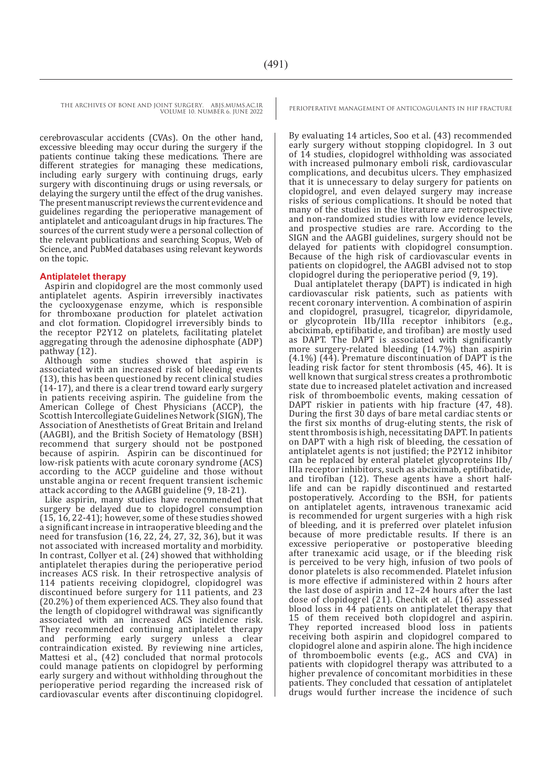cerebrovascular accidents (CVAs). On the other hand, excessive bleeding may occur during the surgery if the patients continue taking these medications. There are different strategies for managing these medications, including early surgery with continuing drugs, early surgery with discontinuing drugs or using reversals, or delaying the surgery until the effect of the drug vanishes. The present manuscript reviews the current evidence and guidelines regarding the perioperative management of antiplatelet and anticoagulant drugs in hip fractures. The sources of the current study were a personal collection of the relevant publications and searching Scopus, Web of Science, and PubMed databases using relevant keywords on the topic.

## **Antiplatelet therapy**

Aspirin and clopidogrel are the most commonly used antiplatelet agents. Aspirin irreversibly inactivates the cyclooxygenase enzyme, which is responsible for thromboxane production for platelet activation and clot formation. Clopidogrel irreversibly binds to the receptor P2Y12 on platelets, facilitating platelet aggregating through the adenosine diphosphate (ADP) pathway (12).

Although some studies showed that aspirin is associated with an increased risk of bleeding events (13), this has been questioned by recent clinical studies (14-17), and there is a clear trend toward early surgery in patients receiving aspirin. The guideline from the American College of Chest Physicians (ACCP), the Scottish Intercollegiate Guidelines Network (SIGN), The Association of Anesthetists of Great Britain and Ireland (AAGBI), and the British Society of Hematology (BSH) recommend that surgery should not be postponed because of aspirin. Aspirin can be discontinued for low-risk patients with acute coronary syndrome (ACS) according to the ACCP guideline and those without unstable angina or recent frequent transient ischemic attack according to the AAGBI guideline (9, 18-21).

Like aspirin, many studies have recommended that surgery be delayed due to clopidogrel consumption (15, 16, 22-41); however, some of these studies showed a significant increase in intraoperative bleeding and the need for transfusion (16, 22, 24, 27, 32, 36), but it was not associated with increased mortality and morbidity. In contrast, Collyer et al. (24) showed that withholding antiplatelet therapies during the perioperative period increases ACS risk. In their retrospective analysis of 114 patients receiving clopidogrel, clopidogrel was discontinued before surgery for 111 patients, and 23 (20.2%) of them experienced ACS. They also found that the length of clopidogrel withdrawal was significantly associated with an increased ACS incidence risk. They recommended continuing antiplatelet therapy<br>and performing early surgery unless a clear performing early surgery unless a clear contraindication existed. By reviewing nine articles, Mattesi et al., (42) concluded that normal protocols could manage patients on clopidogrel by performing early surgery and without withholding throughout the perioperative period regarding the increased risk of cardiovascular events after discontinuing clopidogrel.

By evaluating 14 articles, Soo et al. (43) recommended early surgery without stopping clopidogrel. In 3 out of 14 studies, clopidogrel withholding was associated with increased pulmonary emboli risk, cardiovascular complications, and decubitus ulcers. They emphasized that it is unnecessary to delay surgery for patients on clopidogrel, and even delayed surgery may increase risks of serious complications. It should be noted that many of the studies in the literature are retrospective and non-randomized studies with low evidence levels. and prospective studies are rare. According to the SIGN and the AAGBI guidelines, surgery should not be delayed for patients with clopidogrel consumption. Because of the high risk of cardiovascular events in patients on clopidogrel, the AAGBI advised not to stop clopidogrel during the perioperative period (9, 19).

Dual antiplatelet therapy (DAPT) is indicated in high cardiovascular risk patients, such as patients with recent coronary intervention. A combination of aspirin and clopidogrel, prasugrel, ticagrelor, dipyridamole, or glycoprotein IIb/IIIa receptor inhibitors (e.g., abciximab, eptifibatide, and tirofiban) are mostly used as DAPT. The DAPT is associated with significantly more surgery-related bleeding (14.7%) than aspirin (4.1%) (44). Premature discontinuation of DAPT is the leading risk factor for stent thrombosis (45, 46). It is well known that surgical stress creates a prothrombotic state due to increased platelet activation and increased risk of thromboembolic events, making cessation of DAPT riskier in patients with hip fracture (47, 48). During the first 30 days of bare metal cardiac stents or the first six months of drug-eluting stents, the risk of stent thrombosis is high, necessitating DAPT. In patients on DAPT with a high risk of bleeding, the cessation of antiplatelet agents is not justified; the P2Y12 inhibitor can be replaced by enteral platelet glycoproteins IIb/ IIIa receptor inhibitors, such as abciximab, eptifibatide, and tirofiban (12). These agents have a short halflife and can be rapidly discontinued and restarted postoperatively. According to the BSH, for patients on antiplatelet agents, intravenous tranexamic acid is recommended for urgent surgeries with a high risk of bleeding, and it is preferred over platelet infusion because of more predictable results. If there is an excessive perioperative or postoperative bleeding after tranexamic acid usage, or if the bleeding risk is perceived to be very high, infusion of two pools of donor platelets is also recommended. Platelet infusion is more effective if administered within 2 hours after the last dose of aspirin and 12–24 hours after the last dose of clopidogrel (21). Chechik et al. (16) assessed blood loss in 44 patients on antiplatelet therapy that 15 of them received both clopidogrel and aspirin. They reported increased blood loss in patients receiving both aspirin and clopidogrel compared to clopidogrel alone and aspirin alone. The high incidence of thromboembolic events (e.g., ACS and CVA) in patients with clopidogrel therapy was attributed to a higher prevalence of concomitant morbidities in these patients. They concluded that cessation of antiplatelet drugs would further increase the incidence of such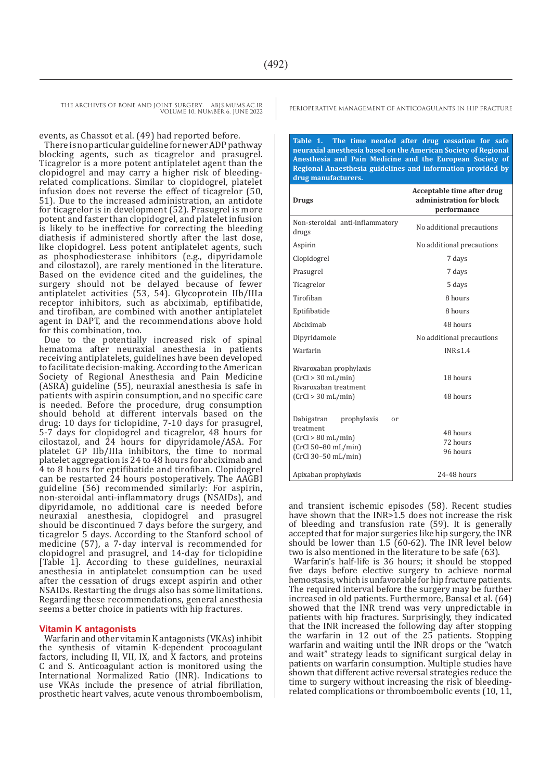events, as Chassot et al. (49) had reported before.

There is no particular guideline for newer ADP pathway blocking agents, such as ticagrelor and prasugrel. Ticagrelor is a more potent antiplatelet agent than the clopidogrel and may carry a higher risk of bleedingrelated complications. Similar to clopidogrel, platelet infusion does not reverse the effect of ticagrelor (50, 51). Due to the increased administration, an antidote for ticagrelor is in development (52). Prasugrel is more potent and faster than clopidogrel, and platelet infusion is likely to be ineffective for correcting the bleeding diathesis if administered shortly after the last dose, like clopidogrel. Less potent antiplatelet agents, such as phosphodiesterase inhibitors (e.g., dipyridamole and cilostazol), are rarely mentioned in the literature. Based on the evidence cited and the guidelines, the surgery should not be delayed because of fewer antiplatelet activities (53, 54). Glycoprotein IIb/IIIa receptor inhibitors, such as abciximab, eptifibatide, and tirofiban, are combined with another antiplatelet agent in DAPT, and the recommendations above hold for this combination, too.

Due to the potentially increased risk of spinal hematoma after neuraxial anesthesia in patients receiving antiplatelets, guidelines have been developed to facilitate decision-making. According to the American Society of Regional Anesthesia and Pain Medicine (ASRA) guideline (55), neuraxial anesthesia is safe in patients with aspirin consumption, and no specific care is needed. Before the procedure, drug consumption should behold at different intervals based on the drug: 10 days for ticlopidine, 7-10 days for prasugrel, 5-7 days for clopidogrel and ticagrelor, 48 hours for cilostazol, and 24 hours for dipyridamole/ASA. For platelet GP IIb/IIIa inhibitors, the time to normal platelet aggregation is 24 to 48 hours for abciximab and 4 to 8 hours for eptifibatide and tirofiban. Clopidogrel can be restarted 24 hours postoperatively. The AAGBI guideline (56) recommended similarly: For aspirin, non-steroidal anti-inflammatory drugs (NSAIDs), and dipyridamole, no additional care is needed before neuraxial anesthesia, clopidogrel and prasugrel should be discontinued 7 days before the surgery, and ticagrelor 5 days. According to the Stanford school of medicine (57), a 7-day interval is recommended for clopidogrel and prasugrel, and 14-day for ticlopidine [Table 1]. According to these guidelines, neuraxial anesthesia in antiplatelet consumption can be used after the cessation of drugs except aspirin and other NSAIDs. Restarting the drugs also has some limitations. Regarding these recommendations, general anesthesia seems a better choice in patients with hip fractures.

#### **Vitamin K antagonists**

Warfarin and other vitamin K antagonists (VKAs) inhibit the synthesis of vitamin K-dependent procoagulant factors, including II, VII, IX, and X factors, and proteins C and S. Anticoagulant action is monitored using the International Normalized Ratio (INR). Indications to use VKAs include the presence of atrial fibrillation, prosthetic heart valves, acute venous thromboembolism,

**Table 1. The time needed after drug cessation for safe neuraxial anesthesia based on the American Society of Regional Anesthesia and Pain Medicine and the European Society of Regional Anaesthesia guidelines and information provided by drug manufacturers.**

| <b>Drugs</b>                                                                                                                              | Acceptable time after drug<br>administration for block<br>performance |
|-------------------------------------------------------------------------------------------------------------------------------------------|-----------------------------------------------------------------------|
| Non-steroidal anti-inflammatory<br>drugs                                                                                                  | No additional precautions                                             |
| Aspirin                                                                                                                                   | No additional precautions                                             |
| Clopidogrel                                                                                                                               | 7 days                                                                |
| Prasugrel                                                                                                                                 | 7 days                                                                |
| Ticagrelor                                                                                                                                | 5 days                                                                |
| Tirofihan                                                                                                                                 | 8 hours                                                               |
| Eptifibatide                                                                                                                              | 8 hours                                                               |
| Abciximab                                                                                                                                 | 48 hours                                                              |
| Dipyridamole                                                                                                                              | No additional precautions                                             |
| Warfarin                                                                                                                                  | INR < 1.4                                                             |
| Rivaroxaban prophylaxis<br>(CrCl > 30 mL/min)<br>Rivaroxaban treatment<br>(CrCl > 30 mL/min)                                              | 18 hours<br>48 hours                                                  |
| Dabigatran<br>prophylaxis<br><sub>or</sub><br>treatment<br>$(CrCl > 80 \text{ mL/min})$<br>$(CrCl 50-80 mL/min)$<br>$(CrCl 30-50 mL/min)$ | 48 hours<br>72 hours<br>96 hours                                      |
| Apixaban prophylaxis                                                                                                                      | 24-48 hours                                                           |

and transient ischemic episodes (58). Recent studies have shown that the INR>1.5 does not increase the risk of bleeding and transfusion rate (59). It is generally accepted that for major surgeries like hip surgery, the INR should be lower than 1.5 (60-62). The INR level below two is also mentioned in the literature to be safe (63).

Warfarin's half-life is 36 hours; it should be stopped five days before elective surgery to achieve normal hemostasis, which is unfavorable for hip fracture patients. The required interval before the surgery may be further increased in old patients. Furthermore, Bansal et al. (64) showed that the INR trend was very unpredictable in patients with hip fractures. Surprisingly, they indicated that the INR increased the following day after stopping the warfarin in 12 out of the 25 patients. Stopping warfarin and waiting until the INR drops or the "watch and wait" strategy leads to significant surgical delay in patients on warfarin consumption. Multiple studies have shown that different active reversal strategies reduce the time to surgery without increasing the risk of bleedingrelated complications or thromboembolic events (10, 11,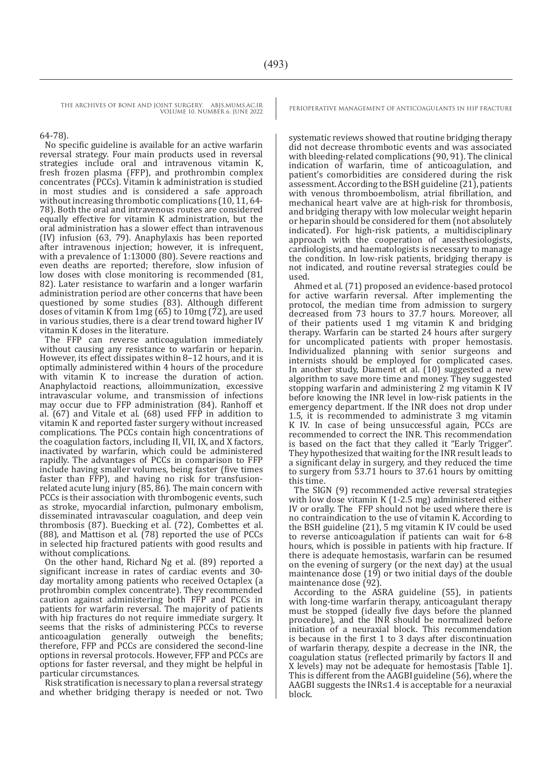64-78).

No specific guideline is available for an active warfarin reversal strategy. Four main products used in reversal strategies include oral and intravenous vitamin K, fresh frozen plasma (FFP), and prothrombin complex concentrates (PCCs). Vitamin k administration is studied in most studies and is considered a safe approach without increasing thrombotic complications (10, 11, 64-78). Both the oral and intravenous routes are considered equally effective for vitamin K administration, but the oral administration has a slower effect than intravenous (IV) infusion (63, 79). Anaphylaxis has been reported after intravenous injection; however, it is infrequent, with a prevalence of 1:13000 (80). Severe reactions and even deaths are reported; therefore, slow infusion of low doses with close monitoring is recommended (81, 82). Later resistance to warfarin and a longer warfarin administration period are other concerns that have been questioned by some studies (83). Although different doses of vitamin K from 1mg (65) to 10mg (72), are used in various studies, there is a clear trend toward higher IV vitamin K doses in the literature.

The FFP can reverse anticoagulation immediately without causing any resistance to warfarin or heparin. However, its effect dissipates within 8–12 hours, and it is optimally administered within 4 hours of the procedure with vitamin K to increase the duration of action. Anaphylactoid reactions, alloimmunization, excessive intravascular volume, and transmission of infections may occur due to FFP administration (84). Ranhoff et al. (67) and Vitale et al. (68) used FFP in addition to vitamin K and reported faster surgery without increased complications. The PCCs contain high concentrations of the coagulation factors, including II, VII, IX, and X factors, inactivated by warfarin, which could be administered rapidly. The advantages of PCCs in comparison to FFP include having smaller volumes, being faster (five times faster than FFP), and having no risk for transfusionrelated acute lung injury (85, 86). The main concern with PCCs is their association with thrombogenic events, such as stroke, myocardial infarction, pulmonary embolism, disseminated intravascular coagulation, and deep vein thrombosis (87). Buecking et al. (72), Combettes et al. (88), and Mattison et al. (78) reported the use of PCCs in selected hip fractured patients with good results and without complications.

On the other hand, Richard Ng et al. (89) reported a significant increase in rates of cardiac events and 30 day mortality among patients who received Octaplex (a prothrombin complex concentrate). They recommended caution against administering both FFP and PCCs in patients for warfarin reversal. The majority of patients with hip fractures do not require immediate surgery. It seems that the risks of administering PCCs to reverse anticoagulation generally outweigh the benefits; therefore, FFP and PCCs are considered the second-line options in reversal protocols. However, FFP and PCCs are options for faster reversal, and they might be helpful in particular circumstances.

Risk stratification is necessary to plan a reversal strategy and whether bridging therapy is needed or not. Two

systematic reviews showed that routine bridging therapy did not decrease thrombotic events and was associated with bleeding-related complications (90, 91). The clinical indication of warfarin, time of anticoagulation, and patient's comorbidities are considered during the risk assessment. According to the BSH guideline (21), patients with venous thromboembolism, atrial fibrillation, and mechanical heart valve are at high-risk for thrombosis, and bridging therapy with low molecular weight heparin or heparin should be considered for them (not absolutely indicated). For high-risk patients, a multidisciplinary approach with the cooperation of anesthesiologists, cardiologists, and haematologists is necessary to manage the condition. In low-risk patients, bridging therapy is not indicated, and routine reversal strategies could be used.

Ahmed et al. (71) proposed an evidence-based protocol for active warfarin reversal. After implementing the protocol, the median time from admission to surgery decreased from 73 hours to 37.7 hours. Moreover, all of their patients used 1 mg vitamin K and bridging therapy. Warfarin can be started 24 hours after surgery for uncomplicated patients with proper hemostasis. Individualized planning with senior surgeons and internists should be employed for complicated cases. In another study, Diament et al. (10) suggested a new algorithm to save more time and money. They suggested stopping warfarin and administering 2 mg vitamin K IV before knowing the INR level in low-risk patients in the emergency department. If the INR does not drop under 1.5, it is recommended to administrate 3 mg vitamin K IV. In case of being unsuccessful again, PCCs are recommended to correct the INR. This recommendation is based on the fact that they called it "Early Trigger". They hypothesized that waiting for the INR result leads to a significant delay in surgery, and they reduced the time to surgery from 53.71 hours to 37.61 hours by omitting this time.

The SIGN (9) recommended active reversal strategies with low dose vitamin K (1-2.5 mg) administered either IV or orally. The FFP should not be used where there is no contraindication to the use of vitamin K. According to the BSH guideline (21), 5 mg vitamin K IV could be used to reverse anticoagulation if patients can wait for 6-8 hours, which is possible in patients with hip fracture. If there is adequate hemostasis, warfarin can be resumed on the evening of surgery (or the next day) at the usual maintenance dose (19) or two initial days of the double maintenance dose (92).

According to the ASRA guideline (55), in patients with long-time warfarin therapy, anticoagulant therapy must be stopped (ideally five days before the planned procedure), and the INR should be normalized before initiation of a neuraxial block. This recommendation is because in the first 1 to 3 days after discontinuation of warfarin therapy, despite a decrease in the INR, the coagulation status (reflected primarily by factors II and X levels) may not be adequate for hemostasis [Table 1]. This is different from the AAGBI guideline (56), where the AAGBI suggests the INR≤1.4 is acceptable for a neuraxial block.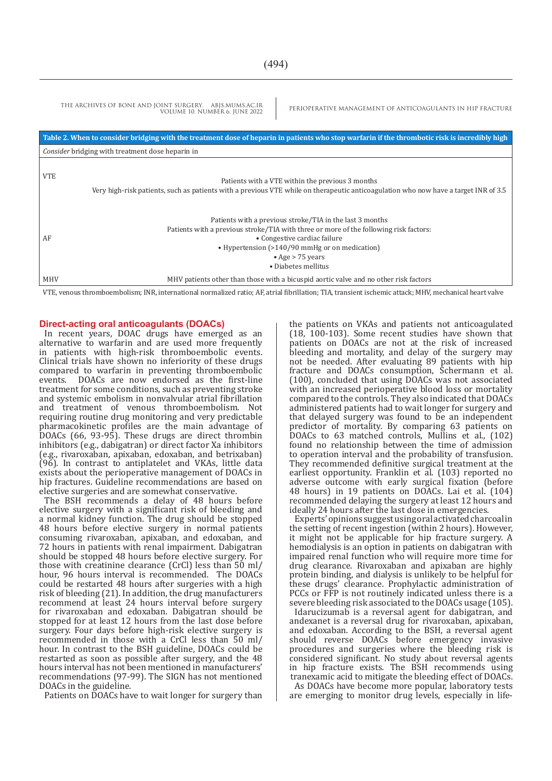|                                                  | THE ARCHIVES OF BONE AND JOINT SURGERY. ABJS.MUMS.AC.IR<br>VOLUME 10. NUMBER 6. JUNE 2022                                                                                                                                                                                              | PERIOPERATIVE MANAGEMENT OF ANTICOAGULANTS IN HIP FRACTURE                                                                                                                              |
|--------------------------------------------------|----------------------------------------------------------------------------------------------------------------------------------------------------------------------------------------------------------------------------------------------------------------------------------------|-----------------------------------------------------------------------------------------------------------------------------------------------------------------------------------------|
|                                                  |                                                                                                                                                                                                                                                                                        | Table 2. When to consider bridging with the treatment dose of heparin in patients who stop warfarin if the thrombotic risk is incredibly high                                           |
| Consider bridging with treatment dose heparin in |                                                                                                                                                                                                                                                                                        |                                                                                                                                                                                         |
| <b>VTE</b>                                       |                                                                                                                                                                                                                                                                                        | Patients with a VTE within the previous 3 months<br>Very high-risk patients, such as patients with a previous VTE while on therapeutic anticoagulation who now have a target INR of 3.5 |
| AF                                               | Patients with a previous stroke/TIA in the last 3 months<br>Patients with a previous stroke/TIA with three or more of the following risk factors:<br>• Congestive cardiac failure<br>• Hypertension (>140/90 mmHg or on medication)<br>$\bullet$ Age > 75 years<br>• Diabetes mellitus |                                                                                                                                                                                         |
| <b>MHV</b>                                       |                                                                                                                                                                                                                                                                                        | MHV patients other than those with a bicuspid aortic valve and no other risk factors                                                                                                    |
|                                                  |                                                                                                                                                                                                                                                                                        | VTE, venous thromboembolism; INR, international normalized ratio; AF, atrial fibrillation; TIA, transient ischemic attack; MHV, mechanical heart valve                                  |

#### **Direct-acting oral anticoagulants (DOACs)**

In recent years, DOAC drugs have emerged as an alternative to warfarin and are used more frequently in patients with high-risk thromboembolic events. Clinical trials have shown no inferiority of these drugs compared to warfarin in preventing thromboembolic<br>events. DOACs are now endorsed as the first-line DOACs are now endorsed as the first-line treatment for some conditions, such as preventing stroke and systemic embolism in nonvalvular atrial fibrillation and treatment of venous thromboembolism. Not requiring routine drug monitoring and very predictable pharmacokinetic profiles are the main advantage of DOACs (66, 93-95). These drugs are direct thrombin inhibitors (e.g., dabigatran) or direct factor Xa inhibitors (e.g., rivaroxaban, apixaban, edoxaban, and betrixaban) (96). In contrast to antiplatelet and VKAs, little data exists about the perioperative management of DOACs in hip fractures. Guideline recommendations are based on elective surgeries and are somewhat conservative.

The BSH recommends a delay of 48 hours before elective surgery with a significant risk of bleeding and a normal kidney function. The drug should be stopped 48 hours before elective surgery in normal patients consuming rivaroxaban, apixaban, and edoxaban, and 72 hours in patients with renal impairment. Dabigatran should be stopped 48 hours before elective surgery. For those with creatinine clearance (CrCl) less than 50 ml/ hour, 96 hours interval is recommended. The DOACs could be restarted 48 hours after surgeries with a high risk of bleeding (21). In addition, the drug manufacturers recommend at least 24 hours interval before surgery for rivaroxaban and edoxaban. Dabigatran should be stopped for at least 12 hours from the last dose before surgery. Four days before high-risk elective surgery is recommended in those with a CrCl less than 50 ml/ hour. In contrast to the BSH guideline, DOACs could be restarted as soon as possible after surgery, and the 48 hours interval has not been mentioned in manufacturers' recommendations (97-99). The SIGN has not mentioned DOACs in the guideline.

Patients on DOACs have to wait longer for surgery than

the patients on VKAs and patients not anticoagulated (18, 100-103). Some recent studies have shown that patients on DOACs are not at the risk of increased bleeding and mortality, and delay of the surgery may not be needed. After evaluating 89 patients with hip fracture and DOACs consumption, Schermann et al. (100), concluded that using DOACs was not associated with an increased perioperative blood loss or mortality compared to the controls. They also indicated that DOACs administered patients had to wait longer for surgery and that delayed surgery was found to be an independent predictor of mortality. By comparing 63 patients on DOACs to 63 matched controls, Mullins et al., (102) found no relationship between the time of admission to operation interval and the probability of transfusion. They recommended definitive surgical treatment at the earliest opportunity. Franklin et al. (103) reported no adverse outcome with early surgical fixation (before 48 hours) in 19 patients on DOACs. Lai et al. (104) recommended delaying the surgery at least 12 hours and ideally 24 hours after the last dose in emergencies.

Experts' opinions suggest using oral activated charcoal in the setting of recent ingestion (within 2 hours). However, it might not be applicable for hip fracture surgery. A hemodialysis is an option in patients on dabigatran with impaired renal function who will require more time for drug clearance. Rivaroxaban and apixaban are highly protein binding, and dialysis is unlikely to be helpful for these drugs' clearance. Prophylactic administration of PCCs or FFP is not routinely indicated unless there is a severe bleeding risk associated to the DOACs usage (105).

Idarucizumab is a reversal agent for dabigatran, and andexanet is a reversal drug for rivaroxaban, apixaban, and edoxaban. According to the BSH, a reversal agent should reverse DOACs before emergency invasive procedures and surgeries where the bleeding risk is considered significant. No study about reversal agents in hip fracture exists. The BSH recommends using tranexamic acid to mitigate the bleeding effect of DOACs.

As DOACs have become more popular, laboratory tests are emerging to monitor drug levels, especially in life-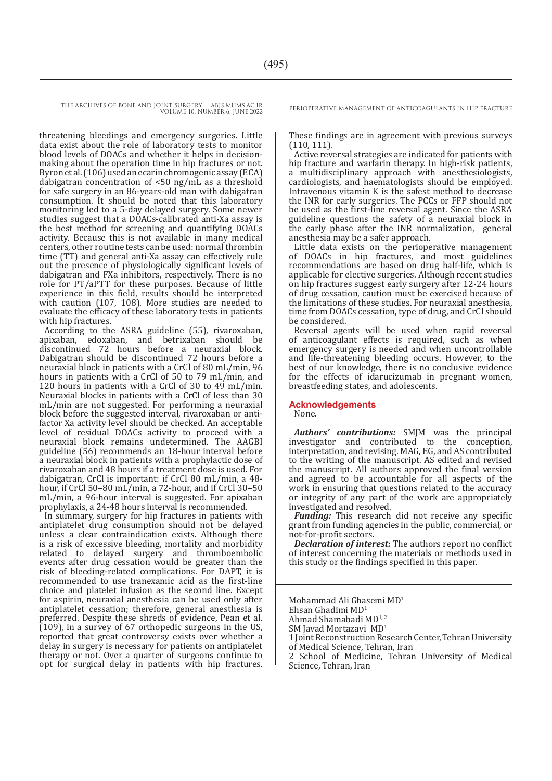threatening bleedings and emergency surgeries. Little data exist about the role of laboratory tests to monitor blood levels of DOACs and whether it helps in decisionmaking about the operation time in hip fractures or not. Byron et al. (106) used an ecarin chromogenic assay (ECA) dabigatran concentration of <50 ng/mL as a threshold for safe surgery in an 86-years-old man with dabigatran consumption. It should be noted that this laboratory monitoring led to a 5-day delayed surgery. Some newer studies suggest that a DOACs-calibrated anti-Xa assay is the best method for screening and quantifying DOACs activity. Because this is not available in many medical centers, other routine tests can be used: normal thrombin time (TT) and general anti-Xa assay can effectively rule out the presence of physiologically significant levels of dabigatran and FXa inhibitors, respectively. There is no role for PT/aPTT for these purposes. Because of little experience in this field, results should be interpreted with caution (107, 108). More studies are needed to evaluate the efficacy of these laboratory tests in patients with hip fractures.

According to the ASRA guideline (55), rivaroxaban, apixaban, edoxaban, and betrixaban should be discontinued 72 hours before a neuraxial block. Dabigatran should be discontinued 72 hours before a neuraxial block in patients with a CrCl of 80 mL/min, 96 hours in patients with a CrCl of 50 to 79 mL/min, and 120 hours in patients with a CrCl of 30 to 49 mL/min. Neuraxial blocks in patients with a CrCl of less than 30 mL/min are not suggested. For performing a neuraxial block before the suggested interval, rivaroxaban or antifactor Xa activity level should be checked. An acceptable level of residual DOACs activity to proceed with a neuraxial block remains undetermined. The AAGBI guideline (56) recommends an 18-hour interval before a neuraxial block in patients with a prophylactic dose of rivaroxaban and 48 hours if a treatment dose is used. For dabigatran, CrCl is important: if CrCl 80 mL/min, a 48 hour, if CrCl 50–80 mL/min, a 72-hour, and if CrCl 30–50 mL/min, a 96-hour interval is suggested. For apixaban prophylaxis, a 24-48 hours interval is recommended.

In summary, surgery for hip fractures in patients with antiplatelet drug consumption should not be delayed unless a clear contraindication exists. Although there is a risk of excessive bleeding, mortality and morbidity related to delayed surgery and thromboembolic events after drug cessation would be greater than the risk of bleeding-related complications. For DAPT, it is recommended to use tranexamic acid as the first-line choice and platelet infusion as the second line. Except for aspirin, neuraxial anesthesia can be used only after antiplatelet cessation; therefore, general anesthesia is preferred. Despite these shreds of evidence, Pean et al. (109), in a survey of 67 orthopedic surgeons in the US, reported that great controversy exists over whether a delay in surgery is necessary for patients on antiplatelet therapy or not. Over a quarter of surgeons continue to opt for surgical delay in patients with hip fractures.

These findings are in agreement with previous surveys (110, 111).

Active reversal strategies are indicated for patients with hip fracture and warfarin therapy. In high-risk patients, a multidisciplinary approach with anesthesiologists, cardiologists, and haematologists should be employed. Intravenous vitamin K is the safest method to decrease the INR for early surgeries. The PCCs or FFP should not be used as the first-line reversal agent. Since the ASRA guideline questions the safety of a neuraxial block in the early phase after the INR normalization, general anesthesia may be a safer approach.

Little data exists on the perioperative management of DOACs in hip fractures, and most guidelines recommendations are based on drug half-life, which is applicable for elective surgeries. Although recent studies on hip fractures suggest early surgery after 12-24 hours of drug cessation, caution must be exercised because of the limitations of these studies. For neuraxial anesthesia, time from DOACs cessation, type of drug, and CrCl should be considered.

Reversal agents will be used when rapid reversal of anticoagulant effects is required, such as when emergency surgery is needed and when uncontrollable and life-threatening bleeding occurs. However, to the best of our knowledge, there is no conclusive evidence for the effects of idarucizumab in pregnant women, breastfeeding states, and adolescents.

#### **Acknowledgements**

None.

*Authors' contributions:* SMJM was the principal investigator and contributed to the conception, interpretation, and revising. MAG, EG, and AS contributed to the writing of the manuscript. AS edited and revised the manuscript. All authors approved the final version and agreed to be accountable for all aspects of the work in ensuring that questions related to the accuracy or integrity of any part of the work are appropriately investigated and resolved.

*Funding:* This research did not receive any specific grant from funding agencies in the public, commercial, or not-for-profit sectors.

*Declaration of interest:* The authors report no conflict of interest concerning the materials or methods used in this study or the findings specified in this paper.

Mohammad Ali Ghasemi MD<sup>1</sup>

Ehsan Ghadimi MD1

Ahmad Shamabadi MD<sup>1,2</sup>

SM Javad Mortazavi MD<sup>1</sup>

1 Joint Reconstruction Research Center, Tehran University of Medical Science, Tehran, Iran

2 School of Medicine, Tehran University of Medical Science, Tehran, Iran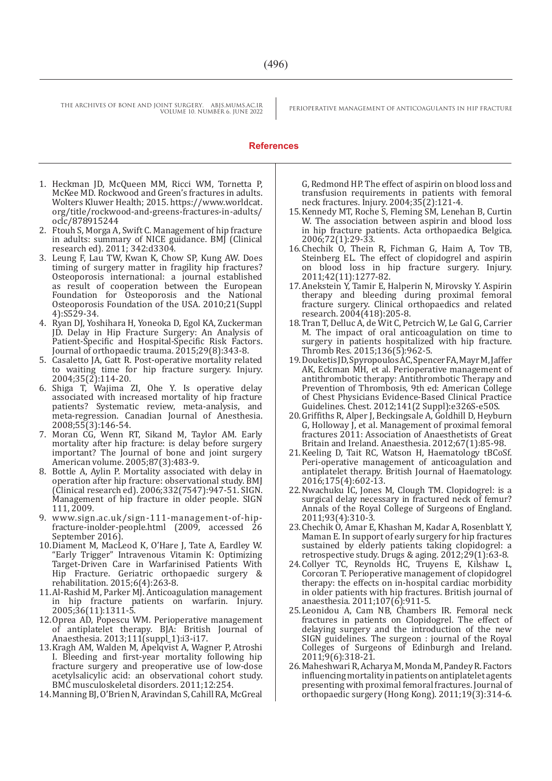#### **References**

- 1. Heckman JD, McQueen MM, Ricci WM, Tornetta P, McKee MD. Rockwood and Green's fractures in adults. Wolters Kluwer Health; 2015. https://www.worldcat. org/title/rockwood-and-greens-fractures-in-adults/ oclc/878915244
- 2. Ftouh S, Morga A, Swift C. Management of hip fracture in adults: summary of NICE guidance. BMJ (Clinical research ed). 2011; 342:d3304.
- 3. Leung F, Lau TW, Kwan K, Chow SP, Kung AW. Does timing of surgery matter in fragility hip fractures? Osteoporosis international: a journal established as result of cooperation between the European Foundation for Osteoporosis and the National Osteoporosis Foundation of the USA. 2010;21(Suppl 4):S529-34.
- 4. Ryan DJ, Yoshihara H, Yoneoka D, Egol KA, Zuckerman JD. Delay in Hip Fracture Surgery: An Analysis of Patient-Specific and Hospital-Specific Risk Factors. Journal of orthopaedic trauma. 2015;29(8):343-8.
- 5. Casaletto JA, Gatt R. Post-operative mortality related to waiting time for hip fracture surgery. Injury. 2004;35(2):114-20.
- 6. Shiga T, Wajima ZI, Ohe Y. Is operative delay associated with increased mortality of hip fracture patients? Systematic review, meta-analysis, and meta-regression. Canadian Journal of Anesthesia. 2008;55(3):146-54.
- 7. Moran CG, Wenn RT, Sikand M, Taylor AM. Early mortality after hip fracture: is delay before surgery important? The Journal of bone and joint surgery American volume. 2005;87(3):483-9.
- 8. Bottle A, Aylin P. Mortality associated with delay in operation after hip fracture: observational study. BMJ (Clinical research ed). 2006;332(7547):947-51. SIGN. Management of hip fracture in older people. SIGN 111, 2009.
- 9. www.sign.ac.uk/sign-111-management-of-hipfracture-inolder-people.html (2009, accessed 26 September 2016).
- 10.Diament M, MacLeod K, O'Hare J, Tate A, Eardley W. "Early Trigger" Intravenous Vitamin K: Optimizing Target-Driven Care in Warfarinised Patients With Hip Fracture. Geriatric orthopaedic surgery & rehabilitation. 2015;6(4):263-8.
- 11.Al-Rashid M, Parker MJ. Anticoagulation management in hip fracture patients on warfarin. Injury. 2005;36(11):1311-5.
- 12.Oprea AD, Popescu WM. Perioperative management of antiplatelet therapy. BJA: British Journal of Anaesthesia. 2013;111(suppl\_1):i3-i17.
- 13.Kragh AM, Walden M, Apelqvist A, Wagner P, Atroshi I. Bleeding and first-year mortality following hip fracture surgery and preoperative use of low-dose acetylsalicylic acid: an observational cohort study. BMC musculoskeletal disorders. 2011;12:254.
- 14.Manning BJ, O'Brien N, Aravindan S, Cahill RA, McGreal

G, Redmond HP. The effect of aspirin on blood loss and transfusion requirements in patients with femoral neck fractures. Injury. 2004;35(2):121-4.

- 15.Kennedy MT, Roche S, Fleming SM, Lenehan B, Curtin W. The association between aspirin and blood loss in hip fracture patients. Acta orthopaedica Belgica. 2006;72(1):29-33.
- 16.Chechik O, Thein R, Fichman G, Haim A, Tov TB, Steinberg EL. The effect of clopidogrel and aspirin on blood loss in hip fracture surgery. Injury. 2011;42(11):1277-82.
- 17.Anekstein Y, Tamir E, Halperin N, Mirovsky Y. Aspirin therapy and bleeding during proximal femoral fracture surgery. Clinical orthopaedics and related research. 2004(418):205-8.
- 18.Tran T, Delluc A, de Wit C, Petrcich W, Le Gal G, Carrier M. The impact of oral anticoagulation on time to surgery in patients hospitalized with hip fracture. Thromb Res. 2015;136(5):962-5.
- 19.Douketis JD, Spyropoulos AC, Spencer FA, Mayr M, Jaffer AK, Eckman MH, et al. Perioperative management of antithrombotic therapy: Antithrombotic Therapy and Prevention of Thrombosis, 9th ed: American College of Chest Physicians Evidence-Based Clinical Practice Guidelines. Chest. 2012;141(2 Suppl):e326S-e50S.
- 20.Griffiths R, Alper J, Beckingsale A, Goldhill D, Heyburn G, Holloway J, et al. Management of proximal femoral fractures 2011: Association of Anaesthetists of Great Britain and Ireland. Anaesthesia. 2012;67(1):85-98.
- 21.Keeling D, Tait RC, Watson H, Haematology tBCoSf. Peri-operative management of anticoagulation and antiplatelet therapy. British Journal of Haematology. 2016;175(4):602-13.
- 22.Nwachuku IC, Jones M, Clough TM. Clopidogrel: is a surgical delay necessary in fractured neck of femur? Annals of the Royal College of Surgeons of England. 2011;93(4):310-3.
- 23.Chechik O, Amar E, Khashan M, Kadar A, Rosenblatt Y, Maman E. In support of early surgery for hip fractures sustained by elderly patients taking clopidogrel: a retrospective study. Drugs & aging. 2012;29(1):63-8.
- 24.Collyer TC, Reynolds HC, Truyens E, Kilshaw L, Corcoran T. Perioperative management of clopidogrel therapy: the effects on in-hospital cardiac morbidity in older patients with hip fractures. British journal of anaesthesia. 2011;107(6):911-5.
- 25.Leonidou A, Cam NB, Chambers IR. Femoral neck fractures in patients on Clopidogrel. The effect of delaying surgery and the introduction of the new SIGN guidelines. The surgeon : journal of the Royal Colleges of Surgeons of Edinburgh and Ireland. 2011;9(6):318-21.
- 26.Maheshwari R, Acharya M, Monda M, Pandey R. Factors influencing mortality in patients on antiplatelet agents presenting with proximal femoral fractures. Journal of orthopaedic surgery (Hong Kong). 2011;19(3):314-6.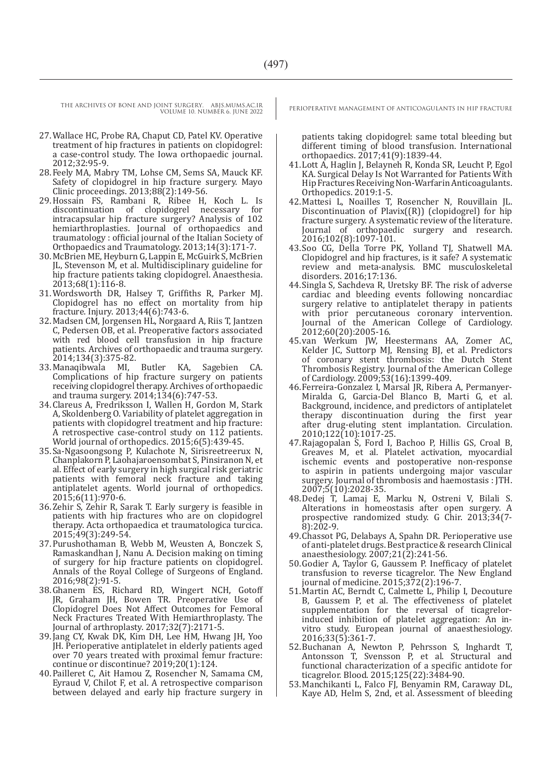- 27.Wallace HC, Probe RA, Chaput CD, Patel KV. Operative treatment of hip fractures in patients on clopidogrel: a case-control study. The Iowa orthopaedic journal. 2012;32:95-9.
- 28.Feely MA, Mabry TM, Lohse CM, Sems SA, Mauck KF. Safety of clopidogrel in hip fracture surgery. Mayo Clinic proceedings. 2013;88(2):149-56.
- 29. Hossain FS, Rambani R, Ribee H, Koch L. Is discontinuation of clopidogrel necessary for discontinuation of clopidogrel necessary intracapsular hip fracture surgery? Analysis of 102 hemiarthroplasties. Journal of orthopaedics and traumatology : official journal of the Italian Society of Orthopaedics and Traumatology. 2013;14(3):171-7.
- 30.McBrien ME, Heyburn G, Lappin E, McGuirk S, McBrien JL, Stevenson M, et al. Multidisciplinary guideline for hip fracture patients taking clopidogrel. Anaesthesia. 2013;68(1):116-8.
- 31.Wordsworth DR, Halsey T, Griffiths R, Parker MJ. Clopidogrel has no effect on mortality from hip fracture. Injury. 2013;44(6):743-6.
- 32.Madsen CM, Jorgensen HL, Norgaard A, Riis T, Jantzen C, Pedersen OB, et al. Preoperative factors associated with red blood cell transfusion in hip fracture patients. Archives of orthopaedic and trauma surgery. 2014;134(3):375-82.
- 33.Manaqibwala MI, Butler KA, Sagebien CA. Complications of hip fracture surgery on patients receiving clopidogrel therapy. Archives of orthopaedic and trauma surgery. 2014;134(6):747-53.
- 34.Clareus A, Fredriksson I, Wallen H, Gordon M, Stark A, Skoldenberg O. Variability of platelet aggregation in patients with clopidogrel treatment and hip fracture: A retrospective case-control study on 112 patients. World journal of orthopedics. 2015;6(5):439-45.
- 35.Sa-Ngasoongsong P, Kulachote N, Sirisreetreerux N, Chanplakorn P, Laohajaroensombat S, Pinsiranon N, et al. Effect of early surgery in high surgical risk geriatric patients with femoral neck fracture and taking antiplatelet agents. World journal of orthopedics. 2015;6(11):970-6.
- 36.Zehir S, Zehir R, Sarak T. Early surgery is feasible in patients with hip fractures who are on clopidogrel therapy. Acta orthopaedica et traumatologica turcica. 2015;49(3):249-54.
- 37.Purushothaman B, Webb M, Weusten A, Bonczek S, Ramaskandhan J, Nanu A. Decision making on timing of surgery for hip fracture patients on clopidogrel. Annals of the Royal College of Surgeons of England. 2016;98(2):91-5.
- 38.Ghanem ES, Richard RD, Wingert NCH, Gotoff JR, Graham JH, Bowen TR. Preoperative Use of Clopidogrel Does Not Affect Outcomes for Femoral Neck Fractures Treated With Hemiarthroplasty. The Journal of arthroplasty. 2017;32(7):2171-5.
- 39.Jang CY, Kwak DK, Kim DH, Lee HM, Hwang JH, Yoo JH. Perioperative antiplatelet in elderly patients aged over 70 years treated with proximal femur fracture: continue or discontinue? 2019;20(1):124.
- 40.Pailleret C, Ait Hamou Z, Rosencher N, Samama CM, Eyraud V, Chilot F, et al. A retrospective comparison between delayed and early hip fracture surgery in

patients taking clopidogrel: same total bleeding but different timing of blood transfusion. International orthopaedics. 2017;41(9):1839-44.

- 41.Lott A, Haglin J, Belayneh R, Konda SR, Leucht P, Egol KA. Surgical Delay Is Not Warranted for Patients With Hip Fractures Receiving Non-Warfarin Anticoagulants. Orthopedics. 2019:1-5.
- 42.Mattesi L, Noailles T, Rosencher N, Rouvillain JL. Discontinuation of Plavix((R)) (clopidogrel) for hip fracture surgery. A systematic review of the literature. Journal of orthopaedic surgery and research. 2016;102(8):1097-101.
- 43.Soo CG, Della Torre PK, Yolland TJ, Shatwell MA. Clopidogrel and hip fractures, is it safe? A systematic review and meta-analysis. BMC musculoskeletal disorders. 2016;17:136.
- 44.Singla S, Sachdeva R, Uretsky BF. The risk of adverse cardiac and bleeding events following noncardiac surgery relative to antiplatelet therapy in patients with prior percutaneous coronary intervention. Journal of the American College of Cardiology. 2012;60(20):2005-16.
- 45.van Werkum JW, Heestermans AA, Zomer AC, Kelder JC, Suttorp MJ, Rensing BJ, et al. Predictors of coronary stent thrombosis: the Dutch Stent Thrombosis Registry. Journal of the American College of Cardiology. 2009;53(16):1399-409.
- 46.Ferreira-Gonzalez I, Marsal JR, Ribera A, Permanyer-Miralda G, Garcia-Del Blanco B, Marti G, et al. Background, incidence, and predictors of antiplatelet therapy discontinuation during the first year after drug-eluting stent implantation. Circulation. 2010;122(10):1017-25.
- 47.Rajagopalan S, Ford I, Bachoo P, Hillis GS, Croal B, Greaves M, et al. Platelet activation, myocardial ischemic events and postoperative non-response to aspirin in patients undergoing major vascular surgery. Journal of thrombosis and haemostasis : JTH. 2007;5(10):2028-35.
- 48.Dedej T, Lamaj E, Marku N, Ostreni V, Bilali S. Alterations in homeostasis after open surgery. A prospective randomized study. G Chir. 2013;34(7- 8):202-9.
- 49.Chassot PG, Delabays A, Spahn DR. Perioperative use of anti-platelet drugs. Best practice & research Clinical anaesthesiology. 2007;21(2):241-56.
- 50.Godier A, Taylor G, Gaussem P. Inefficacy of platelet transfusion to reverse ticagrelor. The New England journal of medicine. 2015;372(2):196-7.
- 51.Martin AC, Berndt C, Calmette L, Philip I, Decouture B, Gaussem P, et al. The effectiveness of platelet supplementation for the reversal of ticagrelorinduced inhibition of platelet aggregation: An invitro study. European journal of anaesthesiology. 2016;33(5):361-7.
- 52.Buchanan A, Newton P, Pehrsson S, Inghardt T, Antonsson T, Svensson P, et al. Structural and functional characterization of a specific antidote for ticagrelor. Blood. 2015;125(22):3484-90.
- 53.Manchikanti L, Falco FJ, Benyamin RM, Caraway DL, Kaye AD, Helm S, 2nd, et al. Assessment of bleeding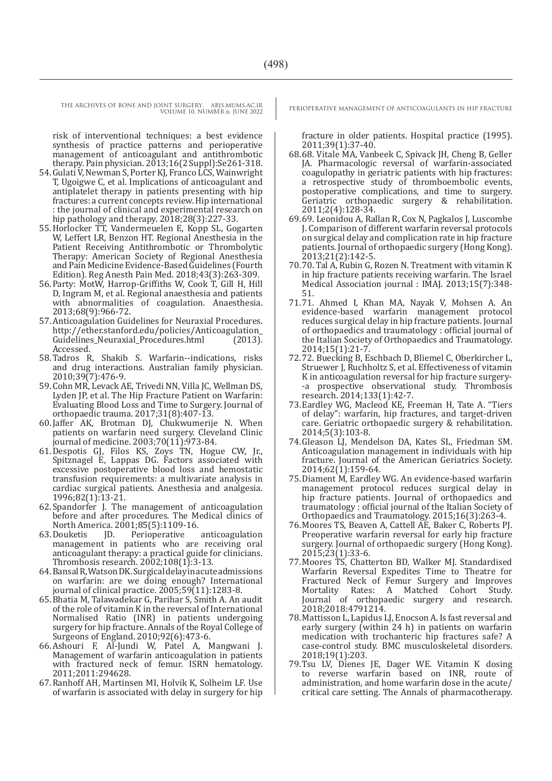risk of interventional techniques: a best evidence synthesis of practice patterns and perioperative management of anticoagulant and antithrombotic therapy. Pain physician. 2013;16(2 Suppl):Se261-318.

- 54.Gulati V, Newman S, Porter KJ, Franco LCS, Wainwright T, Ugoigwe C, et al. Implications of anticoagulant and antiplatelet therapy in patients presenting with hip fractures: a current concepts review. Hip international : the journal of clinical and experimental research on hip pathology and therapy. 2018;28(3):227-33.
- 55.Horlocker TT, Vandermeuelen E, Kopp SL, Gogarten W, Leffert LR, Benzon HT. Regional Anesthesia in the Patient Receiving Antithrombotic or Thrombolytic Therapy: American Society of Regional Anesthesia and Pain Medicine Evidence-Based Guidelines (Fourth Edition). Reg Anesth Pain Med. 2018;43(3):263-309.
- 56.Party: MotW, Harrop-Griffiths W, Cook T, Gill H, Hill D, Ingram M, et al. Regional anaesthesia and patients with abnormalities of coagulation. Anaesthesia. 2013;68(9):966-72.
- 57.Anticoagulation Guidelines for Neuraxial Procedures. http://ether.stanford.edu/policies/Anticoagulation<br>Guidelines\_Neuraxial\_Procedures.html (2013). Guidelines\_Neuraxial\_Procedures.html Accessed.
- 58.Tadros R, Shakib S. Warfarin--indications, risks and drug interactions. Australian family physician. 2010;39(7):476-9.
- 59.Cohn MR, Levack AE, Trivedi NN, Villa JC, Wellman DS, Lyden JP, et al. The Hip Fracture Patient on Warfarin: Evaluating Blood Loss and Time to Surgery. Journal of orthopaedic trauma. 2017;31(8):407-13.
- 60.Jaffer AK, Brotman DJ, Chukwumerije N. When patients on warfarin need surgery. Cleveland Clinic journal of medicine. 2003;70(11):973-84.
- 61.Despotis GJ, Filos KS, Zoys TN, Hogue CW, Jr., Spitznagel E, Lappas DG. Factors associated with excessive postoperative blood loss and hemostatic transfusion requirements: a multivariate analysis in cardiac surgical patients. Anesthesia and analgesia. 1996;82(1):13-21.
- 62.Spandorfer J. The management of anticoagulation before and after procedures. The Medical clinics of North America. 2001;85(5):1109-16.<br>63. Douketis JD. Perioperative anticoagulation
- 63.Douketis JD. Perioperative anticoagulation management in patients who are receiving oral anticoagulant therapy: a practical guide for clinicians. Thrombosis research. 2002;108(1):3-13.
- 64.Bansal R, Watson DK. Surgical delay in acute admissions on warfarin: are we doing enough? International journal of clinical practice. 2005;59(11):1283-8.
- 65.Bhatia M, Talawadekar G, Parihar S, Smith A. An audit of the role of vitamin K in the reversal of International Normalised Ratio (INR) in patients undergoing surgery for hip fracture. Annals of the Royal College of Surgeons of England. 2010;92(6):473-6.
- 66.Ashouri F, Al-Jundi W, Patel A, Mangwani J. Management of warfarin anticoagulation in patients with fractured neck of femur. ISRN hematology. 2011;2011:294628.
- 67.Ranhoff AH, Martinsen MI, Holvik K, Solheim LF. Use of warfarin is associated with delay in surgery for hip

fracture in older patients. Hospital practice (1995). 2011;39(1):37-40.

- 68.68. Vitale MA, Vanbeek C, Spivack JH, Cheng B, Geller JA. Pharmacologic reversal of warfarin-associated coagulopathy in geriatric patients with hip fractures: a retrospective study of thromboembolic events, postoperative complications, and time to surgery. Geriatric orthopaedic surgery & rehabilitation. 2011;2(4):128-34.
- 69.69. Leonidou A, Rallan R, Cox N, Pagkalos J, Luscombe J. Comparison of different warfarin reversal protocols on surgical delay and complication rate in hip fracture patients. Journal of orthopaedic surgery (Hong Kong). 2013;21(2):142-5.
- 70.70. Tal A, Rubin G, Rozen N. Treatment with vitamin K in hip fracture patients receiving warfarin. The Israel Medical Association journal : IMAJ. 2013;15(7):348- 51.
- 71.71. Ahmed I, Khan MA, Nayak V, Mohsen A. An evidence-based warfarin management protocol reduces surgical delay in hip fracture patients. Journal of orthopaedics and traumatology : official journal of the Italian Society of Orthopaedics and Traumatology. 2014;15(1):21-7.
- 72.72. Buecking B, Eschbach D, Bliemel C, Oberkircher L, Struewer J, Ruchholtz S, et al. Effectiveness of vitamin K in anticoagulation reversal for hip fracture surgery- -a prospective observational study. Thrombosis research. 2014;133(1):42-7.
- 73.Eardley WG, Macleod KE, Freeman H, Tate A. "Tiers of delay": warfarin, hip fractures, and target-driven care. Geriatric orthopaedic surgery & rehabilitation. 2014;5(3):103-8.
- 74.Gleason LJ, Mendelson DA, Kates SL, Friedman SM. Anticoagulation management in individuals with hip fracture. Journal of the American Geriatrics Society. 2014;62(1):159-64.
- 75.Diament M, Eardley WG. An evidence-based warfarin management protocol reduces surgical delay in hip fracture patients. Journal of orthopaedics and traumatology : official journal of the Italian Society of Orthopaedics and Traumatology. 2015;16(3):263-4.
- 76.Moores TS, Beaven A, Cattell AE, Baker C, Roberts PJ. Preoperative warfarin reversal for early hip fracture surgery. Journal of orthopaedic surgery (Hong Kong). 2015;23(1):33-6.
- 77.Moores TS, Chatterton BD, Walker MJ. Standardised Warfarin Reversal Expedites Time to Theatre for Fractured Neck of Femur Surgery and Improves<br>Mortality Rates: A Matched Cohort Study. Mortality Rates: A Matched Cohort Study. Journal of orthopaedic surgery and research. 2018;2018:4791214.
- 78.Mattisson L, Lapidus LJ, Enocson A. Is fast reversal and early surgery (within 24 h) in patients on warfarin medication with trochanteric hip fractures safe? A case-control study. BMC musculoskeletal disorders. 2018;19(1):203.
- 79.Tsu LV, Dienes JE, Dager WE. Vitamin K dosing to reverse warfarin based on INR, route of administration, and home warfarin dose in the acute/ critical care setting. The Annals of pharmacotherapy.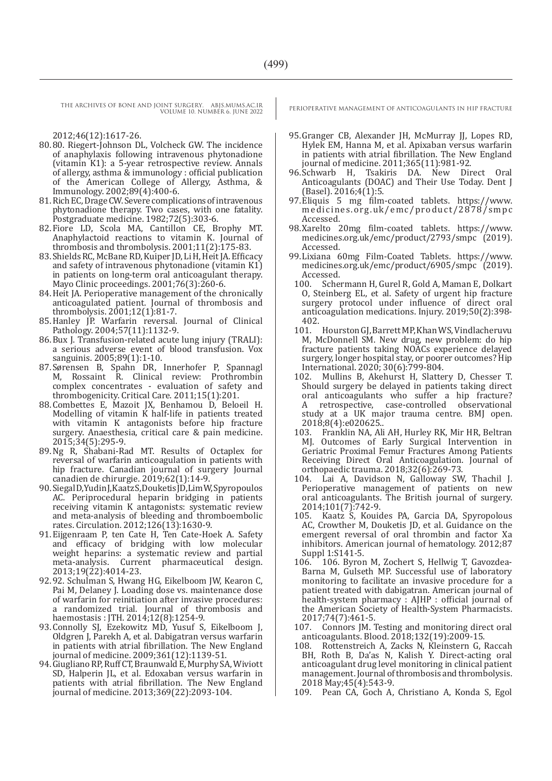2012;46(12):1617-26.

- 80.80. Riegert-Johnson DL, Volcheck GW. The incidence of anaphylaxis following intravenous phytonadione (vitamin K1): a 5-year retrospective review. Annals of allergy, asthma & immunology : official publication of the American College of Allergy, Asthma, & Immunology. 2002;89(4):400-6.
- 81.Rich EC, Drage CW. Severe complications of intravenous phytonadione therapy. Two cases, with one fatality. Postgraduate medicine. 1982;72(5):303-6.
- 82.Fiore LD, Scola MA, Cantillon CE, Brophy MT. Anaphylactoid reactions to vitamin K. Journal of thrombosis and thrombolysis. 2001;11(2):175-83.
- 83.Shields RC, McBane RD, Kuiper JD, Li H, Heit JA. Efficacy and safety of intravenous phytonadione (vitamin K1) in patients on long-term oral anticoagulant therapy. Mayo Clinic proceedings. 2001;76(3):260-6.
- 84.Heit JA. Perioperative management of the chronically anticoagulated patient. Journal of thrombosis and thrombolysis. 2001;12(1):81-7.
- 85.Hanley JP. Warfarin reversal. Journal of Clinical Pathology. 2004;57(11):1132-9.
- 86.Bux J. Transfusion-related acute lung injury (TRALI): a serious adverse event of blood transfusion. Vox sanguinis. 2005;89(1):1-10.
- 87.Sørensen B, Spahn DR, Innerhofer P, Spannagl M, Rossaint R. Clinical review: Prothrombin complex concentrates - evaluation of safety and thrombogenicity. Critical Care. 2011;15(1):201.
- 88.Combettes E, Mazoit JX, Benhamou D, Beloeil H. Modelling of vitamin K half-life in patients treated with vitamin K antagonists before hip fracture surgery. Anaesthesia, critical care & pain medicine. 2015;34(5):295-9.
- 89.Ng R, Shabani-Rad MT. Results of Octaplex for reversal of warfarin anticoagulation in patients with hip fracture. Canadian journal of surgery Journal canadien de chirurgie. 2019;62(1):14-9.
- 90.Siegal D, Yudin J, Kaatz S, Douketis JD, Lim W, Spyropoulos AC. Periprocedural heparin bridging in patients receiving vitamin K antagonists: systematic review and meta-analysis of bleeding and thromboembolic rates. Circulation. 2012;126(13):1630-9.
- 91.Eijgenraam P, ten Cate H, Ten Cate-Hoek A. Safety and efficacy of bridging with low molecular weight heparins: a systematic review and partial meta-analysis. Current pharmaceutical design. 2013;19(22):4014-23.
- 92.92. Schulman S, Hwang HG, Eikelboom JW, Kearon C, Pai M, Delaney J. Loading dose vs. maintenance dose of warfarin for reinitiation after invasive procedures: a randomized trial. Journal of thrombosis and haemostasis : JTH. 2014;12(8):1254-9.
- 93.Connolly SJ, Ezekowitz MD, Yusuf S, Eikelboom J, Oldgren J, Parekh A, et al. Dabigatran versus warfarin in patients with atrial fibrillation. The New England journal of medicine. 2009;361(12):1139-51.
- 94.Giugliano RP, Ruff CT, Braunwald E, Murphy SA, Wiviott SD, Halperin JL, et al. Edoxaban versus warfarin in patients with atrial fibrillation. The New England journal of medicine. 2013;369(22):2093-104.

- 95.Granger CB, Alexander JH, McMurray JJ, Lopes RD, Hylek EM, Hanna M, et al. Apixaban versus warfarin in patients with atrial fibrillation. The New England journal of medicine. 2011;365(11):981-92.
- Tsakiris DA. New Direct Oral Anticoagulants (DOAC) and Their Use Today. Dent J (Basel). 2016;4(1):5.
- 97.Eliquis 5 mg film-coated tablets. https://www. medicines.org.uk/emc/product/2878/smpc Accessed.
- 98.Xarelto 20mg film-coated tablets. https://www. medicines.org.uk/emc/product/2793/smpc (2019). Accessed.
- 99.Lixiana 60mg Film-Coated Tablets. https://www. medicines.org.uk/emc/product/6905/smpc (2019). Accessed.<br>100 Sche
	- Schermann H, Gurel R, Gold A, Maman E, Dolkart O, Steinberg EL, et al. Safety of urgent hip fracture surgery protocol under influence of direct oral anticoagulation medications. Injury. 2019;50(2):398- 402.
	- 101. Hourston GJ, Barrett MP, Khan WS, Vindlacheruvu M, McDonnell SM. New drug, new problem: do hip fracture patients taking NOACs experience delayed surgery, longer hospital stay, or poorer outcomes? Hip International. 2020; 30(6):799-804.
	- 102. Mullins B, Akehurst H, Slattery D, Chesser T. Should surgery be delayed in patients taking direct oral anticoagulants who suffer a hip fracture? A retrospective, case-controlled observational study at a UK major trauma centre. BMJ open. 2018;8(4):e020625..<br>103. Franklin NA. Ali
	- 103. Franklin NA, Ali AH, Hurley RK, Mir HR, Beltran MJ. Outcomes of Early Surgical Intervention in Geriatric Proximal Femur Fractures Among Patients Receiving Direct Oral Anticoagulation. Journal of orthopaedic trauma. 2018;32(6):269-73.
- 104. Lai A, Davidson N, Galloway SW, Thachil J. Perioperative management of patients on new oral anticoagulants. The British journal of surgery. 2014;101(7):742-9.<br>105 Kaatz S Kouie
- Kaatz S, Kouides PA, Garcia DA, Spyropolous AC, Crowther M, Douketis JD, et al. Guidance on the emergent reversal of oral thrombin and factor Xa inhibitors. American journal of hematology. 2012;87 Suppl 1:S141-5.<br>106. 106. Byror
- 106. 106. Byron M, Zochert S, Hellwig T, Gavozdea-Barna M, Gulseth MP. Successful use of laboratory monitoring to facilitate an invasive procedure for a patient treated with dabigatran. American journal of health-system pharmacy : AJHP : official journal of the American Society of Health-System Pharmacists. 2017;74(7):461-5.
- 107. Connors JM. Testing and monitoring direct oral anticoagulants. Blood. 2018;132(19):2009-15.
- 108. Rottenstreich A, Zacks N, Kleinstern G, Raccah BH, Roth B, Da'as N, Kalish Y. Direct-acting oral anticoagulant drug level monitoring in clinical patient management. Journal of thrombosis and thrombolysis. 2018 May;45(4):543-9.
- 109. Pean CA, Goch A, Christiano A, Konda S, Egol